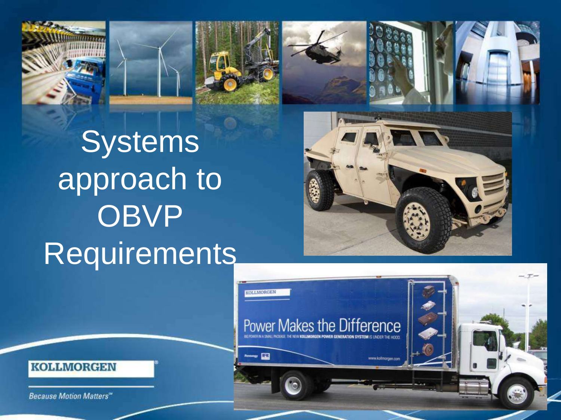



**Systems** approach to **OBVP Requirements** 

**OLLMORGEN** 

Renewagy **133** 

Power Makes the Difference



www.kollmorgen.com



**Because Motion Matters"**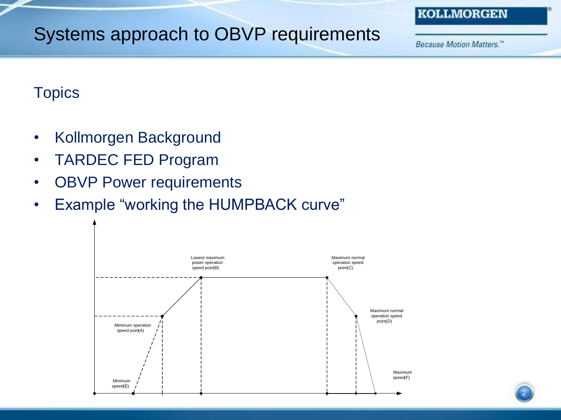## Systems approach to OBVP requirements

Because Motion Matters."

**KOLLMORGEN** 

### **Topics**

- Kollmorgen Background
- TARDEC FED Program
- OBVP Power requirements
- Example "working the HUMPBACK curve"

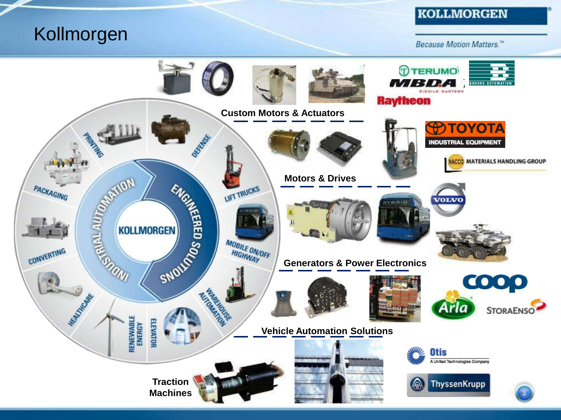## Kollmorgen

#### **KOLLMORGEN**

**Because Motion Matters."** 

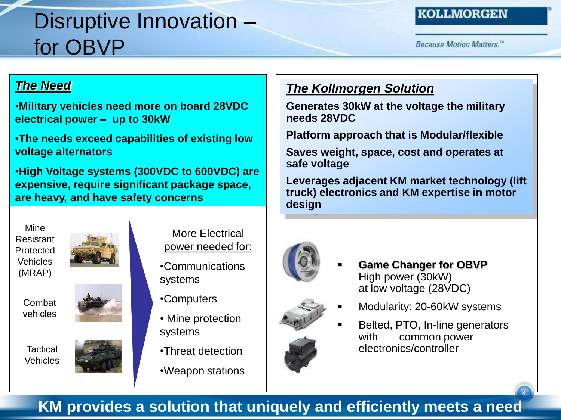# Disruptive Innovation – for OBVP

#### **KOLLMORGEN**

**Because Motion Matters.**"

#### *The Need*

•**Military vehicles need more on board 28VDC electrical power – up to 30kW**

•**The needs exceed capabilities of existing low voltage alternators**

•**High Voltage systems (300VDC to 600VDC) are expensive, require significant package space, are heavy, and have safety concerns** 

Mine Resistant Protected Vehicles (MRAP)

> Combat vehicles



**Tactical Vehicles** 



More Electrical power needed for:

- •Communications systems
- •Computers
- Mine protection systems
- •Threat detection
- •Weapon stations



**Generates 30kW at the voltage the military needs 28VDC**

**Platform approach that is Modular/flexible** 

**Saves weight, space, cost and operates at safe voltage**

**Leverages adjacent KM market technology (lift truck) electronics and KM expertise in motor design**



- **Game Changer for OBVP**  High power (30kW) at low voltage (28VDC)
- Modularity: 20-60kW systems
- Belted, PTO, In-line generators with common power electronics/controller

4

### **KM provides a solution that uniquely and efficiently meets a need**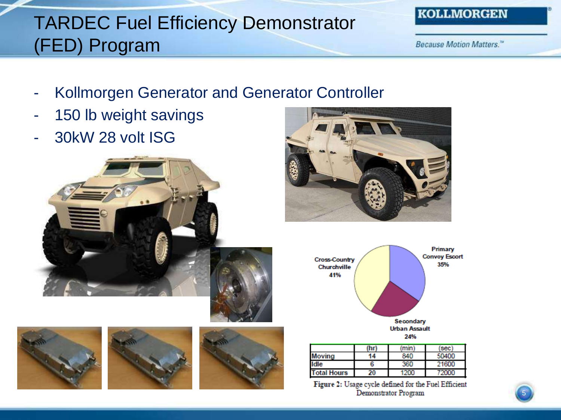# TARDEC Fuel Efficiency Demonstrator (FED) Program

Because Motion Matters."

- Kollmorgen Generator and Generator Controller
- 150 lb weight savings
- 30kW 28 volt ISG













|                    | (hr) | (min) | sec <sup>1</sup> |
|--------------------|------|-------|------------------|
| Moving             | 14   | 840   | 50400            |
| ldle               | h    | 360   | 21600            |
| <b>Total Hours</b> | 20   |       | 72000            |

Figure 2: Usage cycle defined for the Fuel Efficient Demonstrator Program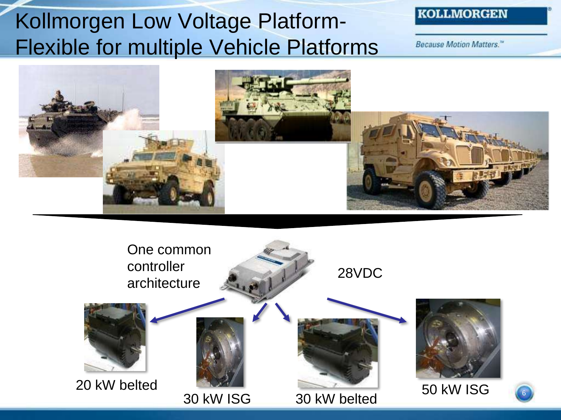# Kollmorgen Low Voltage Platform-Flexible for multiple Vehicle Platforms

#### **KOLLMORGEN**

Because Motion Matters."



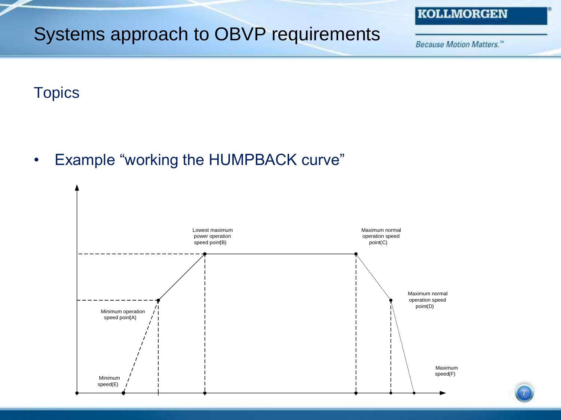# Systems approach to OBVP requirements

**Because Motion Matters."** 

**KOLLMORGEN** 

7

### **Topics**

• Example "working the HUMPBACK curve"

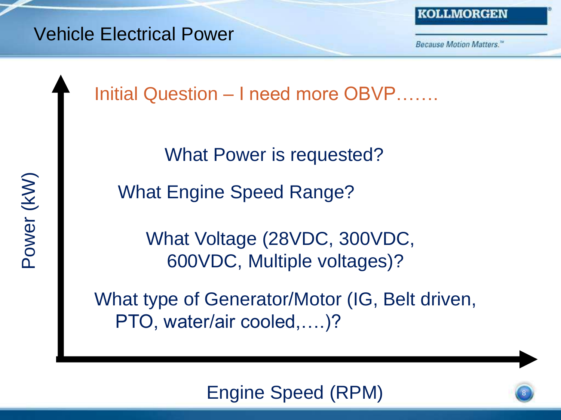

KOLLMORGEN

**Because Motion Matters.**"

Initial Question – I need more OBVP…….

What Power is requested?

What Engine Speed Range?

What Voltage (28VDC, 300VDC, 600VDC, Multiple voltages)?

What type of Generator/Motor (IG, Belt driven, PTO, water/air cooled,….)?

### Engine Speed (RPM)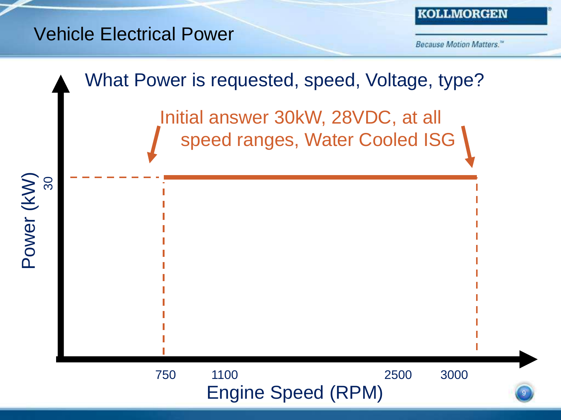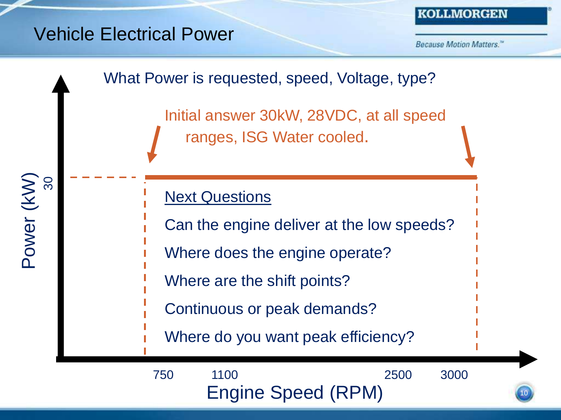### Vehicle Electrical Power

Power (kW)

30

**Because Motion Matters.**"

10

### What Power is requested, speed, Voltage, type?

Initial answer 30kW, 28VDC, at all speed ranges, ISG Water cooled.

### **Next Questions**

Can the engine deliver at the low speeds?

- Where does the engine operate?
- Where are the shift points?
	- Continuous or peak demands?
	- Where do you want peak efficiency?

Engine Speed (RPM) 750 1100 2500 3000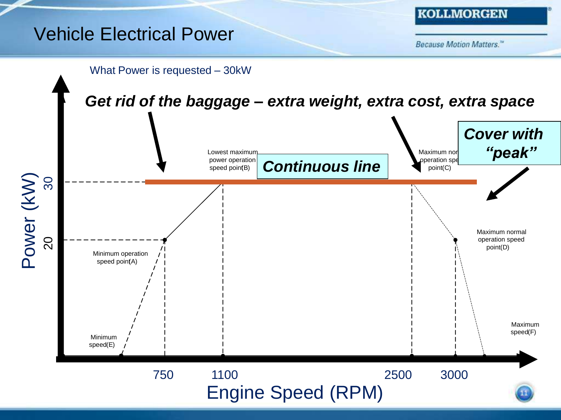## Vehicle Electrical Power



Because Motion Matters."

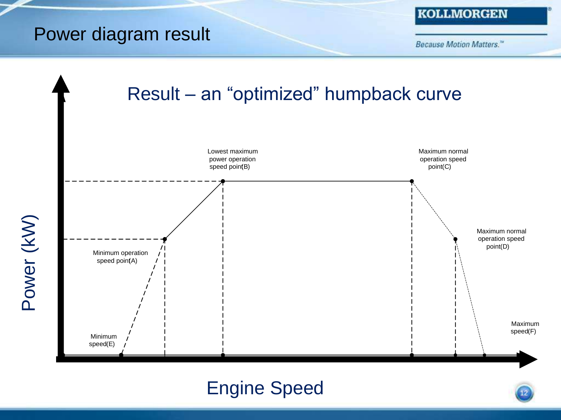## Power diagram result

**Because Motion Matters."** 



# Engine Speed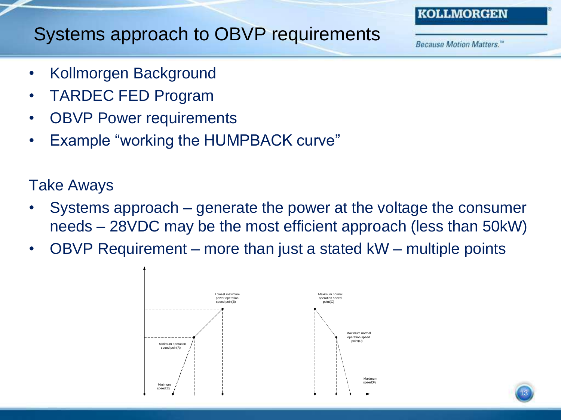#### **KOLLMORGEN**

### Systems approach to OBVP requirements

**Because Motion Matters.**"

- Kollmorgen Background
- TARDEC FED Program
- **OBVP Power requirements**
- Example "working the HUMPBACK curve"

### Take Aways

- Systems approach generate the power at the voltage the consumer needs – 28VDC may be the most efficient approach (less than 50kW)
- OBVP Requirement more than just a stated kW multiple points